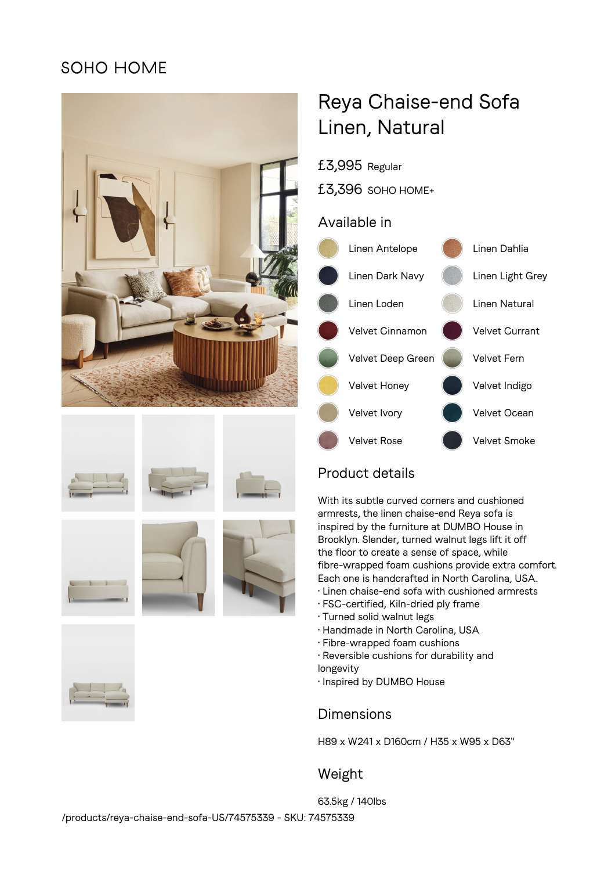## SOHO HOME















# Reya Chaise-end Sofa Linen, Natural

£3,995 Regular

£3,396 SOHO HOME+

#### Available in



## Product details

With its subtle curved corners and cushioned armrests, the linen chaise-end Reya sofa is inspired by the furniture at DUMBO House in Brooklyn. Slender, turned walnut legs lift it off the floor to create a sense of space, while fibre-wrapped foam cushions provide extra comfort. Each one is handcrafted in North Carolina, USA.

- Linen chaise-end sofa with cushioned armrests
- FSC-certified, Kiln-dried ply frame
- Turned solid walnut legs
- Handmade in North Carolina, USA
- Fibre-wrapped foam cushions
- Reversible cushions for durability and
- longevity
- Inspired by DUMBO House

## Dimensions

H89 x W241 x D160cm / H35 x W95 x D63"

## Weight

63.5kg / 140lbs /products/reya-chaise-end-sofa-US/74575339 - SKU: 74575339